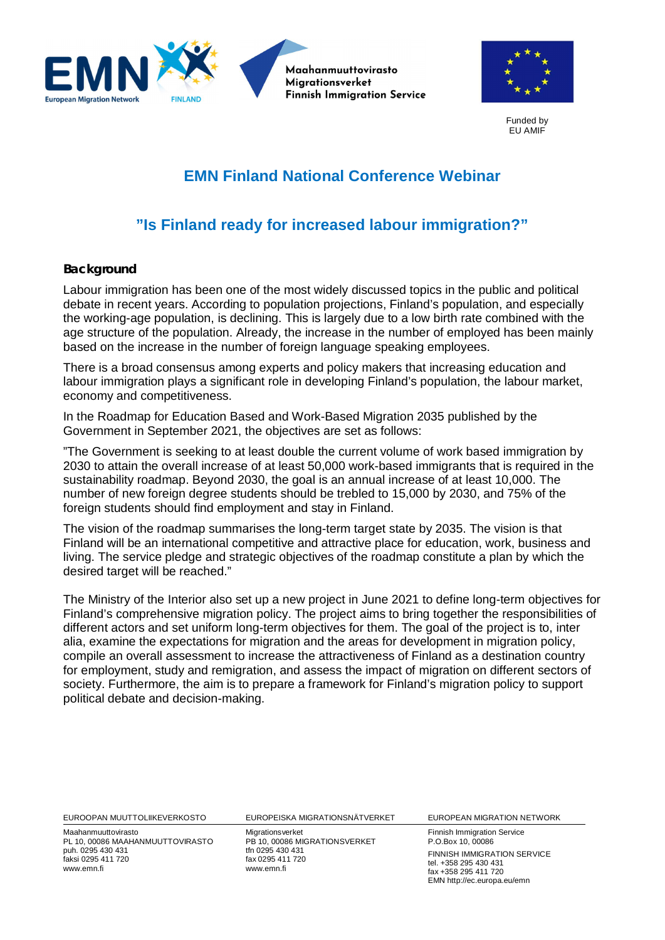



Funded by EU AMIF

## **EMN Finland National Conference Webinar**

## **"Is Finland ready for increased labour immigration?"**

## **Background**

Labour immigration has been one of the most widely discussed topics in the public and political debate in recent years. According to population projections, Finland's population, and especially the working-age population, is declining. This is largely due to a low birth rate combined with the age structure of the population. Already, the increase in the number of employed has been mainly based on the increase in the number of foreign language speaking employees.

There is a broad consensus among experts and policy makers that increasing education and labour immigration plays a significant role in developing Finland's population, the labour market, economy and competitiveness.

In the Roadmap for Education Based and Work-Based Migration 2035 published by the Government in September 2021, the objectives are set as follows:

"The Government is seeking to at least double the current volume of work based immigration by 2030 to attain the overall increase of at least 50,000 work-based immigrants that is required in the sustainability roadmap. Beyond 2030, the goal is an annual increase of at least 10,000. The number of new foreign degree students should be trebled to 15,000 by 2030, and 75% of the foreign students should find employment and stay in Finland.

The vision of the roadmap summarises the long-term target state by 2035. The vision is that Finland will be an international competitive and attractive place for education, work, business and living. The service pledge and strategic objectives of the roadmap constitute a plan by which the desired target will be reached."

The Ministry of the Interior also set up a new project in June 2021 to define long-term objectives for Finland's comprehensive migration policy. The project aims to bring together the responsibilities of different actors and set uniform long-term objectives for them. The goal of the project is to, inter alia, examine the expectations for migration and the areas for development in migration policy, compile an overall assessment to increase the attractiveness of Finland as a destination country for employment, study and remigration, and assess the impact of migration on different sectors of society. Furthermore, the aim is to prepare a framework for Finland's migration policy to support political debate and decision-making.

EUROOPAN MUUTTOLIIKEVERKOSTO EUROPEISKA MIGRATIONSNÄTVERKET EUROPEAN MIGRATION NETWORK

Maahanmuuttovirasto PL 10, 00086 MAAHANMUUTTOVIRASTO puh. 0295 430 431 faksi 0295 411 720 www.emn.fi

Migrationsverket PB 10, 00086 MIGRATIONSVERKET tfn 0295 430 431 fax 0295 411 720 www.emn.fi

Finnish Immigration Service P.O.Box 10, 00086 FINNISH IMMIGRATION SERVICE tel. +358 295 430 431 fax +358 295 411 720 EMN http://ec.europa.eu/emn